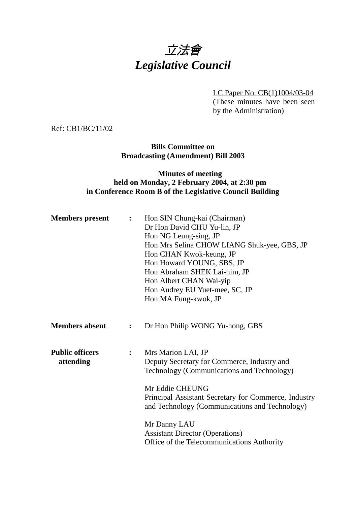

LC Paper No. CB(1)1004/03-04

(These minutes have been seen by the Administration)

Ref: CB1/BC/11/02

#### **Bills Committee on Broadcasting (Amendment) Bill 2003**

## **Minutes of meeting held on Monday, 2 February 2004, at 2:30 pm in Conference Room B of the Legislative Council Building**

| <b>Members</b> present              | $\ddot{\cdot}$   | Hon SIN Chung-kai (Chairman)<br>Dr Hon David CHU Yu-lin, JP<br>Hon NG Leung-sing, JP<br>Hon Mrs Selina CHOW LIANG Shuk-yee, GBS, JP<br>Hon CHAN Kwok-keung, JP<br>Hon Howard YOUNG, SBS, JP<br>Hon Abraham SHEK Lai-him, JP<br>Hon Albert CHAN Wai-yip<br>Hon Audrey EU Yuet-mee, SC, JP<br>Hon MA Fung-kwok, JP                                     |
|-------------------------------------|------------------|------------------------------------------------------------------------------------------------------------------------------------------------------------------------------------------------------------------------------------------------------------------------------------------------------------------------------------------------------|
| <b>Members absent</b>               | $\ddot{\bullet}$ | Dr Hon Philip WONG Yu-hong, GBS                                                                                                                                                                                                                                                                                                                      |
| <b>Public officers</b><br>attending | $\ddot{\cdot}$   | Mrs Marion LAI, JP<br>Deputy Secretary for Commerce, Industry and<br>Technology (Communications and Technology)<br>Mr Eddie CHEUNG<br>Principal Assistant Secretary for Commerce, Industry<br>and Technology (Communications and Technology)<br>Mr Danny LAU<br><b>Assistant Director (Operations)</b><br>Office of the Telecommunications Authority |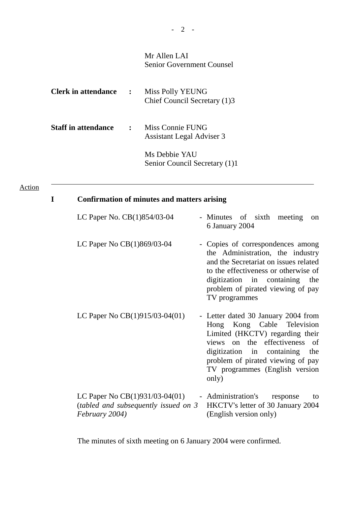# Mr Allen LAI Senior Government Counsel

| <b>Clerk in attendance</b> | $\ddot{\cdot}$ | Miss Polly YEUNG<br>Chief Council Secretary (1)3     |
|----------------------------|----------------|------------------------------------------------------|
| <b>Staff in attendance</b> | $\ddot{\cdot}$ | Miss Connie FUNG<br><b>Assistant Legal Adviser 3</b> |
|                            |                | Ms Debbie YAU<br>Senior Council Secretary (1)1       |

#### Action

 $\overline{a}$ 

# **I Confirmation of minutes and matters arising**

| LC Paper No. CB(1)854/03-04                                                                  | - Minutes of sixth meeting<br><sub>on</sub><br>6 January 2004                                                                                                                                                                                              |
|----------------------------------------------------------------------------------------------|------------------------------------------------------------------------------------------------------------------------------------------------------------------------------------------------------------------------------------------------------------|
| LC Paper No $CB(1)869/03-04$                                                                 | - Copies of correspondences among<br>the Administration, the industry<br>and the Secretariat on issues related<br>to the effectiveness or otherwise of<br>digitization in containing the<br>problem of pirated viewing of pay<br>TV programmes             |
| LC Paper No $CB(1)915/03-04(01)$                                                             | - Letter dated 30 January 2004 from<br>Hong Kong Cable Television<br>Limited (HKCTV) regarding their<br>views on the effectiveness<br>of<br>digitization in containing the<br>problem of pirated viewing of pay<br>TV programmes (English version<br>only) |
| LC Paper No $CB(1)931/03-04(01)$<br>(tabled and subsequently issued on $3$<br>February 2004) | - Administration's<br>response<br>to<br>HKCTV's letter of 30 January 2004<br>(English version only)                                                                                                                                                        |

The minutes of sixth meeting on 6 January 2004 were confirmed.

- 2 -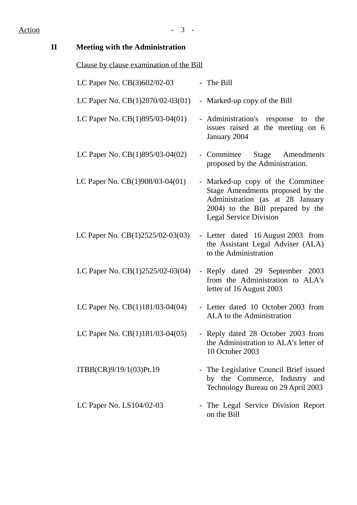# Action - 3 -

| $\mathbf{I}\mathbf{I}$ | <b>Meeting with the Administration</b>   |                                                                                                                                                                                 |
|------------------------|------------------------------------------|---------------------------------------------------------------------------------------------------------------------------------------------------------------------------------|
|                        | Clause by clause examination of the Bill |                                                                                                                                                                                 |
|                        | LC Paper No. CB(3)602/02-03              | - The Bill                                                                                                                                                                      |
|                        | LC Paper No. $CB(1)2070/02-03(01)$       | - Marked-up copy of the Bill                                                                                                                                                    |
|                        | LC Paper No. CB(1)895/03-04(01)          | - Administration's response to the<br>issues raised at the meeting on 6<br>January 2004                                                                                         |
|                        | LC Paper No. $CB(1)895/03-04(02)$        | - Committee<br>Stage Amendments<br>proposed by the Administration.                                                                                                              |
|                        | LC Paper No. CB(1)908/03-04(01)          | - Marked-up copy of the Committee<br>Stage Amendments proposed by the<br>Administration (as at 28 January<br>2004) to the Bill prepared by the<br><b>Legal Service Division</b> |
|                        | LC Paper No. $CB(1)2525/02-03(03)$       | - Letter dated 16 August 2003 from<br>the Assistant Legal Adviser (ALA)<br>to the Administration                                                                                |
|                        | LC Paper No. $CB(1)2525/02-03(04)$       | - Reply dated 29 September 2003<br>from the Administration to ALA's<br>letter of 16 August 2003                                                                                 |
|                        | LC Paper No. CB(1)181/03-04(04)          | - Letter dated 10 October 2003 from<br>ALA to the Administration                                                                                                                |
|                        | LC Paper No. $CB(1)181/03-04(05)$        | - Reply dated 28 October 2003 from<br>the Administration to ALA's letter of<br>10 October 2003                                                                                  |
|                        | ITBB(CR)9/19/1(03)Pt.19                  | - The Legislative Council Brief issued<br>by the Commerce, Industry and<br>Technology Bureau on 29 April 2003                                                                   |
|                        | LC Paper No. $LS104/02-03$               | - The Legal Service Division Report<br>on the Bill                                                                                                                              |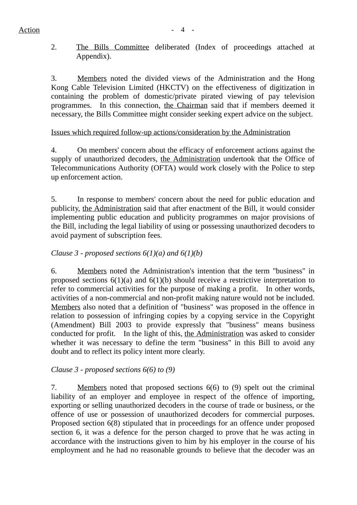2. The Bills Committee deliberated (Index of proceedings attached at Appendix).

3. Members noted the divided views of the Administration and the Hong Kong Cable Television Limited (HKCTV) on the effectiveness of digitization in containing the problem of domestic/private pirated viewing of pay television programmes. In this connection, the Chairman said that if members deemed it necessary, the Bills Committee might consider seeking expert advice on the subject.

# Issues which required follow-up actions/consideration by the Administration

4. On members' concern about the efficacy of enforcement actions against the supply of unauthorized decoders, the Administration undertook that the Office of Telecommunications Authority (OFTA) would work closely with the Police to step up enforcement action.

5. In response to members' concern about the need for public education and publicity, the Administration said that after enactment of the Bill, it would consider implementing public education and publicity programmes on major provisions of the Bill, including the legal liability of using or possessing unauthorized decoders to avoid payment of subscription fees.

# *Clause 3 - proposed sections 6(1)(a) and 6(1)(b)*

6. Members noted the Administration's intention that the term "business" in proposed sections  $6(1)(a)$  and  $6(1)(b)$  should receive a restrictive interpretation to refer to commercial activities for the purpose of making a profit. In other words, activities of a non-commercial and non-profit making nature would not be included. Members also noted that a definition of "business" was proposed in the offence in relation to possession of infringing copies by a copying service in the Copyright (Amendment) Bill 2003 to provide expressly that "business" means business conducted for profit. In the light of this, the Administration was asked to consider whether it was necessary to define the term "business" in this Bill to avoid any doubt and to reflect its policy intent more clearly.

# *Clause 3 - proposed sections 6(6) to (9)*

7. Members noted that proposed sections 6(6) to (9) spelt out the criminal liability of an employer and employee in respect of the offence of importing, exporting or selling unauthorized decoders in the course of trade or business, or the offence of use or possession of unauthorized decoders for commercial purposes. Proposed section 6(8) stipulated that in proceedings for an offence under proposed section 6, it was a defence for the person charged to prove that he was acting in accordance with the instructions given to him by his employer in the course of his employment and he had no reasonable grounds to believe that the decoder was an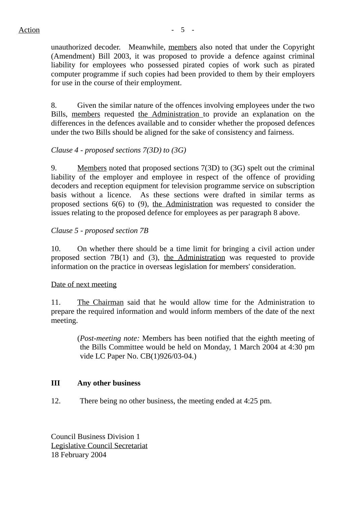unauthorized decoder. Meanwhile, members also noted that under the Copyright (Amendment) Bill 2003, it was proposed to provide a defence against criminal liability for employees who possessed pirated copies of work such as pirated computer programme if such copies had been provided to them by their employers for use in the course of their employment.

8. Given the similar nature of the offences involving employees under the two Bills, members requested the Administration to provide an explanation on the differences in the defences available and to consider whether the proposed defences under the two Bills should be aligned for the sake of consistency and fairness.

# *Clause 4 - proposed sections 7(3D) to (3G)*

9. Members noted that proposed sections 7(3D) to (3G) spelt out the criminal liability of the employer and employee in respect of the offence of providing decoders and reception equipment for television programme service on subscription basis without a licence. As these sections were drafted in similar terms as proposed sections 6(6) to (9), the Administration was requested to consider the issues relating to the proposed defence for employees as per paragraph 8 above.

# *Clause 5 - proposed section 7B*

10. On whether there should be a time limit for bringing a civil action under proposed section 7B(1) and (3), the Administration was requested to provide information on the practice in overseas legislation for members' consideration.

### Date of next meeting

11. The Chairman said that he would allow time for the Administration to prepare the required information and would inform members of the date of the next meeting.

(*Post-meeting note:* Members has been notified that the eighth meeting of the Bills Committee would be held on Monday, 1 March 2004 at 4:30 pm vide LC Paper No. CB(1)926/03-04.)

### **III Any other business**

12. There being no other business, the meeting ended at 4:25 pm.

Council Business Division 1 Legislative Council Secretariat 18 February 2004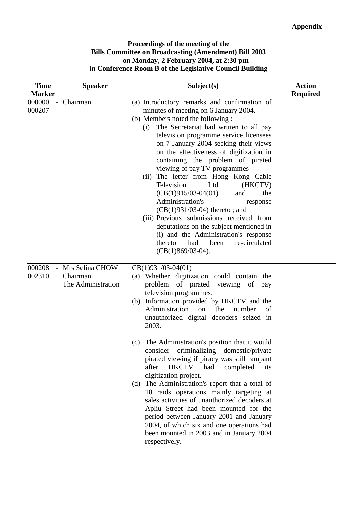#### **Proceedings of the meeting of the Bills Committee on Broadcasting (Amendment) Bill 2003 on Monday, 2 February 2004, at 2:30 pm in Conference Room B of the Legislative Council Building**

| <b>Time</b><br><b>Marker</b> | <b>Speaker</b>                                    | Subject(s)                                                                                                                                                                                                                                                                                                                                                                                                                                                                                                                                                                                                                                                                                                                                                                                                                                                           | <b>Action</b><br><b>Required</b> |
|------------------------------|---------------------------------------------------|----------------------------------------------------------------------------------------------------------------------------------------------------------------------------------------------------------------------------------------------------------------------------------------------------------------------------------------------------------------------------------------------------------------------------------------------------------------------------------------------------------------------------------------------------------------------------------------------------------------------------------------------------------------------------------------------------------------------------------------------------------------------------------------------------------------------------------------------------------------------|----------------------------------|
| 000000<br>000207             | Chairman                                          | (a) Introductory remarks and confirmation of<br>minutes of meeting on 6 January 2004.<br>(b) Members noted the following :<br>The Secretariat had written to all pay<br>(i)<br>television programme service licensees<br>on 7 January 2004 seeking their views<br>on the effectiveness of digitization in<br>containing the problem of pirated<br>viewing of pay TV programmes<br>(ii) The letter from Hong Kong Cable<br>Television<br>Ltd.<br>(HKCTV)<br>$(CB(1)915/03-04(01))$<br>and<br>the<br>Administration's<br>response<br>$(CB(1)931/03-04)$ thereto; and<br>(iii) Previous submissions received from<br>deputations on the subject mentioned in<br>(i) and the Administration's response<br>re-circulated<br>thereto<br>had<br>been<br>$(CB(1)869/03-04)$ .                                                                                                |                                  |
| 000208<br>002310             | Mrs Selina CHOW<br>Chairman<br>The Administration | CB(1)931/03-04(01)<br>(a) Whether digitization could contain the<br>problem of pirated viewing of pay<br>television programmes.<br>Information provided by HKCTV and the<br>(b)<br>Administration<br>the<br>of<br>on<br>number<br>unauthorized digital decoders seized in<br>2003.<br>The Administration's position that it would<br>(c)<br>consider<br>criminalizing<br>domestic/private<br>pirated viewing if piracy was still rampant<br><b>HKCTV</b><br>after<br>had<br>completed<br>its<br>digitization project.<br>The Administration's report that a total of<br>(d)<br>18 raids operations mainly targeting at<br>sales activities of unauthorized decoders at<br>Apliu Street had been mounted for the<br>period between January 2001 and January<br>2004, of which six and one operations had<br>been mounted in 2003 and in January 2004<br>respectively. |                                  |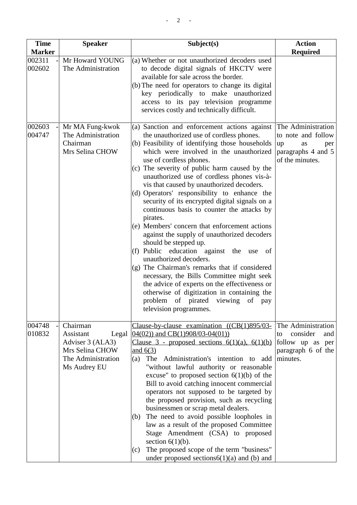| <b>Time</b>                       | <b>Speaker</b>                                                                                              | Subject(s)                                                                                                                                                                                                                                                                                                                                                                                                                                                                                                                                                                                                                                                                                                                                       | <b>Action</b>                                                                                        |
|-----------------------------------|-------------------------------------------------------------------------------------------------------------|--------------------------------------------------------------------------------------------------------------------------------------------------------------------------------------------------------------------------------------------------------------------------------------------------------------------------------------------------------------------------------------------------------------------------------------------------------------------------------------------------------------------------------------------------------------------------------------------------------------------------------------------------------------------------------------------------------------------------------------------------|------------------------------------------------------------------------------------------------------|
| <b>Marker</b><br>002311<br>002602 | Mr Howard YOUNG<br>The Administration                                                                       | (a) Whether or not unauthorized decoders used<br>to decode digital signals of HKCTV were<br>available for sale across the border.<br>(b) The need for operators to change its digital<br>key periodically to make unauthorized<br>access to its pay television programme                                                                                                                                                                                                                                                                                                                                                                                                                                                                         | <b>Required</b>                                                                                      |
| 002603<br>004747                  | Mr MA Fung-kwok<br>The Administration<br>Chairman<br>Mrs Selina CHOW                                        | services costly and technically difficult.<br>(a) Sanction and enforcement actions against<br>the unauthorized use of cordless phones.<br>(b) Feasibility of identifying those households<br>which were involved in the unauthorized<br>use of cordless phones.<br>(c) The severity of public harm caused by the<br>unauthorized use of cordless phones vis-à-<br>vis that caused by unauthorized decoders.<br>(d) Operators' responsibility to enhance the<br>security of its encrypted digital signals on a                                                                                                                                                                                                                                    | The Administration<br>to note and follow<br>up<br>as<br>per<br>paragraphs 4 and 5<br>of the minutes. |
|                                   |                                                                                                             | continuous basis to counter the attacks by<br>pirates.<br>(e) Members' concern that enforcement actions<br>against the supply of unauthorized decoders<br>should be stepped up.<br>(f) Public education against the use<br>of<br>unauthorized decoders.<br>$(g)$ The Chairman's remarks that if considered<br>necessary, the Bills Committee might seek<br>the advice of experts on the effectiveness or<br>otherwise of digitization in containing the<br>problem<br>of pirated viewing<br>of pay<br>television programmes.                                                                                                                                                                                                                     |                                                                                                      |
| 004748<br>010832                  | Chairman<br>Assistant<br>Legal<br>Adviser 3 (ALA3)<br>Mrs Selina CHOW<br>The Administration<br>Ms Audrey EU | Clause-by-clause examination $((CB(1)895/03-$<br>$04(02)$ ) and CB(1)908/03-04(01))<br>Clause 3 - proposed sections $6(1)(a)$ , $6(1)(b)$<br>and $6(3)$<br>The Administration's intention to add<br>(a)<br>"without lawful authority or reasonable<br>excuse" to proposed section $6(1)(b)$ of the<br>Bill to avoid catching innocent commercial<br>operators not supposed to be targeted by<br>the proposed provision, such as recycling<br>businessmen or scrap metal dealers.<br>The need to avoid possible loopholes in<br>(b)<br>law as a result of the proposed Committee<br>Stage Amendment (CSA) to proposed<br>section $6(1)(b)$ .<br>The proposed scope of the term "business"<br>(c)<br>under proposed sections $6(1)(a)$ and (b) and | The Administration<br>consider<br>and<br>to<br>follow up as per<br>paragraph 6 of the<br>minutes.    |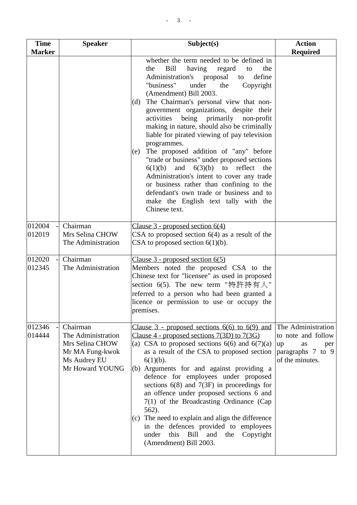| <b>Time</b><br><b>Marker</b> | <b>Speaker</b>                                                                                          | Subject(s)                                                                                                                                                                                                                                                                                                                                                                                                                                                                                                                                                                                                                                                                                                                                                                                                       | <b>Action</b><br><b>Required</b>                                                                    |
|------------------------------|---------------------------------------------------------------------------------------------------------|------------------------------------------------------------------------------------------------------------------------------------------------------------------------------------------------------------------------------------------------------------------------------------------------------------------------------------------------------------------------------------------------------------------------------------------------------------------------------------------------------------------------------------------------------------------------------------------------------------------------------------------------------------------------------------------------------------------------------------------------------------------------------------------------------------------|-----------------------------------------------------------------------------------------------------|
|                              |                                                                                                         | whether the term needed to be defined in<br>Bill<br>having<br>the<br>regard<br>the<br>to<br>define<br>Administration's proposal<br>to<br>"business"<br>under<br>the<br>Copyright<br>(Amendment) Bill 2003.<br>The Chairman's personal view that non-<br>(d)<br>government organizations, despite their<br>being primarily non-profit<br>activities<br>making in nature, should also be criminally<br>liable for pirated viewing of pay television<br>programmes.<br>The proposed addition of "any" before<br>(e)<br>"trade or business" under proposed sections<br>6(1)(b)<br>6(3)(b)<br>to reflect<br>and<br>the<br>Administration's intent to cover any trade<br>or business rather than confining to the<br>defendant's own trade or business and to<br>make the English text tally with the<br>Chinese text. |                                                                                                     |
| 012004<br>012019             | Chairman<br>Mrs Selina CHOW<br>The Administration                                                       | Clause $3$ - proposed section $6(4)$<br>CSA to proposed section $6(4)$ as a result of the<br>CSA to proposed section $6(1)(b)$ .                                                                                                                                                                                                                                                                                                                                                                                                                                                                                                                                                                                                                                                                                 |                                                                                                     |
| 012020<br>012345             | Chairman<br>The Administration                                                                          | Clause 3 - proposed section 6(5)<br>Members noted the proposed CSA to the<br>Chinese text for "licensee" as used in proposed<br>section $6(5)$ . The new term "特許持有人"<br>referred to a person who had been granted a<br>licence or permission to use or occupy the<br>premises.                                                                                                                                                                                                                                                                                                                                                                                                                                                                                                                                  |                                                                                                     |
| 012346<br>014444             | Chairman<br>The Administration<br>Mrs Selina CHOW<br>Mr MA Fung-kwok<br>Ms Audrey EU<br>Mr Howard YOUNG | Clause $3$ - proposed sections $6(6)$ to $6(9)$ and<br>Clause 4 - proposed sections $7(3D)$ to $7(3G)$<br>(a) CSA to proposed sections $6(6)$ and $6(7)(a)$<br>as a result of the CSA to proposed section<br>$6(1)(b)$ .<br>Arguments for and against providing a<br>(b)<br>defence for employees under proposed<br>sections $6(8)$ and $7(3F)$ in proceedings for<br>an offence under proposed sections 6 and<br>$7(1)$ of the Broadcasting Ordinance (Cap<br>562).<br>(c) The need to explain and align the difference<br>in the defences provided to employees<br>this<br>Bill<br>Copyright<br>under<br>and<br>the<br>(Amendment) Bill 2003.                                                                                                                                                                  | The Administration<br>to note and follow<br>up<br>as<br>per<br>paragraphs 7 to 9<br>of the minutes. |